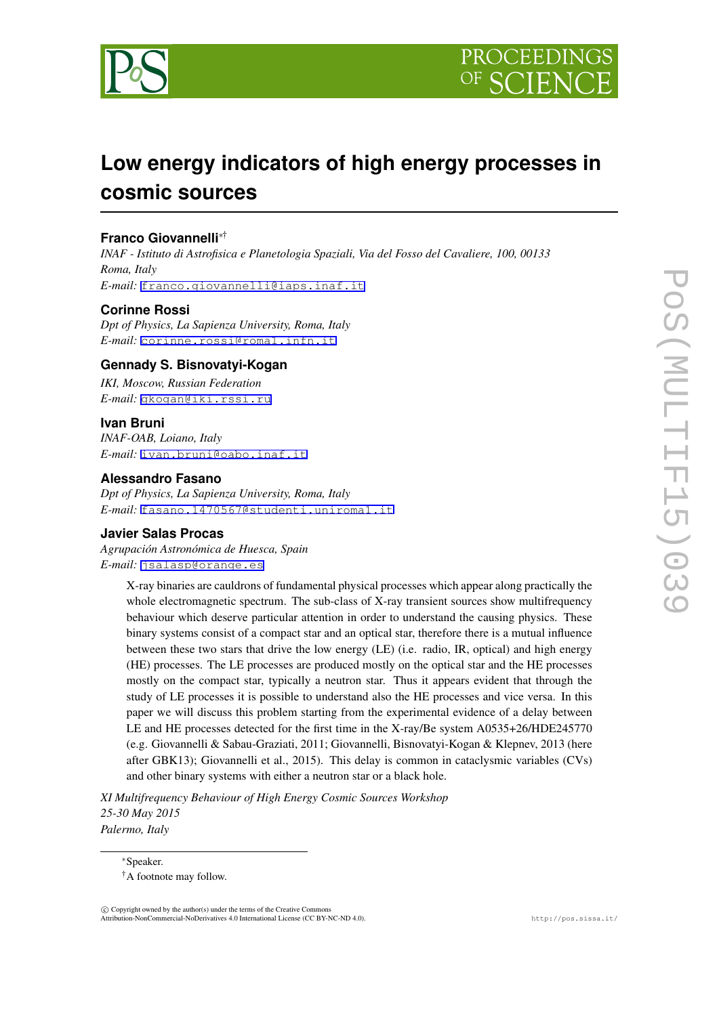

# **Low energy indicators of high energy processes in cosmic sources**

## **Franco Giovannelli***∗*†

*INAF - Istituto di Astrofisica e Planetologia Spaziali, Via del Fosso del Cavaliere, 100, 00133 Roma, Italy E-mail:* [franco.giovannelli@iaps.inaf.it](mailto:franco.giovannelli@iaps.inaf.it)

## **Corinne Rossi**

*Dpt of Physics, La Sapienza University, Roma, Italy E-mail:* [corinne.rossi@roma1.infn.it](mailto:corinne.rossi@roma1.infn.it)

## **Gennady S. Bisnovatyi-Kogan**

*IKI, Moscow, Russian Federation E-mail:* [gkogan@iki.rssi.ru](mailto:gkogan@iki.rssi.ru)

### **Ivan Bruni**

*INAF-OAB, Loiano, Italy E-mail:* [ivan.bruni@oabo.inaf.it](mailto:ivan.bruni@oabo.inaf.it)

### **Alessandro Fasano**

*Dpt of Physics, La Sapienza University, Roma, Italy E-mail:* [fasano.1470567@studenti.uniroma1.it](mailto:fasano.1470567@studenti.uniroma1.it)

## **Javier Salas Procas**

*Agrupación Astronómica de Huesca, Spain E-mail:* [jsalasp@orange.es](mailto:jsalasp@orange.es)

> X-ray binaries are cauldrons of fundamental physical processes which appear along practically the whole electromagnetic spectrum. The sub-class of X-ray transient sources show multifrequency behaviour which deserve particular attention in order to understand the causing physics. These binary systems consist of a compact star and an optical star, therefore there is a mutual influence between these two stars that drive the low energy (LE) (i.e. radio, IR, optical) and high energy (HE) processes. The LE processes are produced mostly on the optical star and the HE processes mostly on the compact star, typically a neutron star. Thus it appears evident that through the study of LE processes it is possible to understand also the HE processes and vice versa. In this paper we will discuss this problem starting from the experimental evidence of a delay between LE and HE processes detected for the first time in the X-ray/Be system A0535+26/HDE245770 (e.g. Giovannelli & Sabau-Graziati, 2011; Giovannelli, Bisnovatyi-Kogan & Klepnev, 2013 (here after GBK13); Giovannelli et al., 2015). This delay is common in cataclysmic variables (CVs) and other binary systems with either a neutron star or a black hole.

*XI Multifrequency Behaviour of High Energy Cosmic Sources Workshop 25-30 May 2015 Palermo, Italy*

*∗*Speaker.

 $(\widehat{c})$  Copyright owned by the author(s) under the terms of the Creative Common Attribution-NonCommercial-NoDerivatives 4.0 International License (CC BY-NC-ND 4.0). http://pos.sissa.it/

<sup>†</sup>A footnote may follow.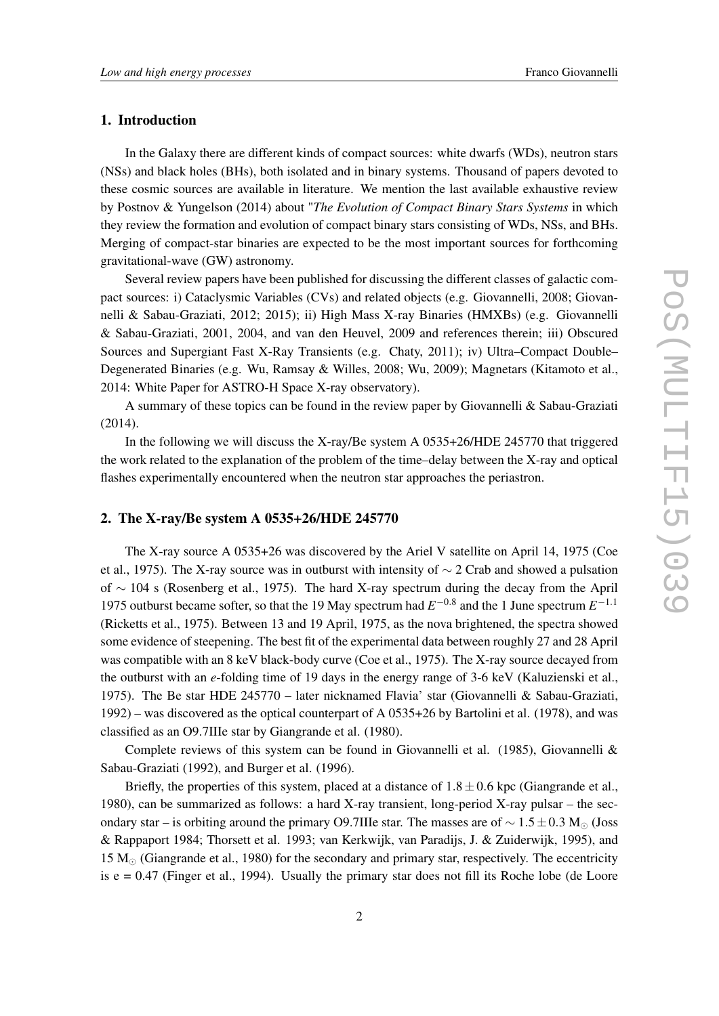### 1. Introduction

In the Galaxy there are different kinds of compact sources: white dwarfs (WDs), neutron stars (NSs) and black holes (BHs), both isolated and in binary systems. Thousand of papers devoted to these cosmic sources are available in literature. We mention the last available exhaustive review by Postnov & Yungelson (2014) about "*The Evolution of Compact Binary Stars Systems* in which they review the formation and evolution of compact binary stars consisting of WDs, NSs, and BHs. Merging of compact-star binaries are expected to be the most important sources for forthcoming gravitational-wave (GW) astronomy.

Several review papers have been published for discussing the different classes of galactic compact sources: i) Cataclysmic Variables (CVs) and related objects (e.g. Giovannelli, 2008; Giovannelli & Sabau-Graziati, 2012; 2015); ii) High Mass X-ray Binaries (HMXBs) (e.g. Giovannelli & Sabau-Graziati, 2001, 2004, and van den Heuvel, 2009 and references therein; iii) Obscured Sources and Supergiant Fast X-Ray Transients (e.g. Chaty, 2011); iv) Ultra–Compact Double– Degenerated Binaries (e.g. Wu, Ramsay & Willes, 2008; Wu, 2009); Magnetars (Kitamoto et al., 2014: White Paper for ASTRO-H Space X-ray observatory).

A summary of these topics can be found in the review paper by Giovannelli & Sabau-Graziati (2014).

In the following we will discuss the X-ray/Be system A 0535+26/HDE 245770 that triggered the work related to the explanation of the problem of the time–delay between the X-ray and optical flashes experimentally encountered when the neutron star approaches the periastron.

#### 2. The X-ray/Be system A 0535+26/HDE 245770

The X-ray source A 0535+26 was discovered by the Ariel V satellite on April 14, 1975 (Coe et al., 1975). The X-ray source was in outburst with intensity of *∼* 2 Crab and showed a pulsation of *∼* 104 s (Rosenberg et al., 1975). The hard X-ray spectrum during the decay from the April 1975 outburst became softer, so that the 19 May spectrum had *E −*0*.*8 and the 1 June spectrum *E −*1*.*1 (Ricketts et al., 1975). Between 13 and 19 April, 1975, as the nova brightened, the spectra showed some evidence of steepening. The best fit of the experimental data between roughly 27 and 28 April was compatible with an 8 keV black-body curve (Coe et al., 1975). The X-ray source decayed from the outburst with an *e*-folding time of 19 days in the energy range of 3-6 keV (Kaluzienski et al., 1975). The Be star HDE 245770 – later nicknamed Flavia' star (Giovannelli & Sabau-Graziati, 1992) – was discovered as the optical counterpart of A 0535+26 by Bartolini et al. (1978), and was classified as an O9.7IIIe star by Giangrande et al. (1980).

Complete reviews of this system can be found in Giovannelli et al. (1985), Giovannelli & Sabau-Graziati (1992), and Burger et al. (1996).

Briefly, the properties of this system, placed at a distance of  $1.8 \pm 0.6$  kpc (Giangrande et al., 1980), can be summarized as follows: a hard X-ray transient, long-period X-ray pulsar – the secondary star – is orbiting around the primary O9.7IIIe star. The masses are of *∼* 1*.*5*±*0*.*3 M*<sup>⊙</sup>* (Joss & Rappaport 1984; Thorsett et al. 1993; van Kerkwijk, van Paradijs, J. & Zuiderwijk, 1995), and 15 M*<sup>⊙</sup>* (Giangrande et al., 1980) for the secondary and primary star, respectively. The eccentricity is  $e = 0.47$  (Finger et al., 1994). Usually the primary star does not fill its Roche lobe (de Loore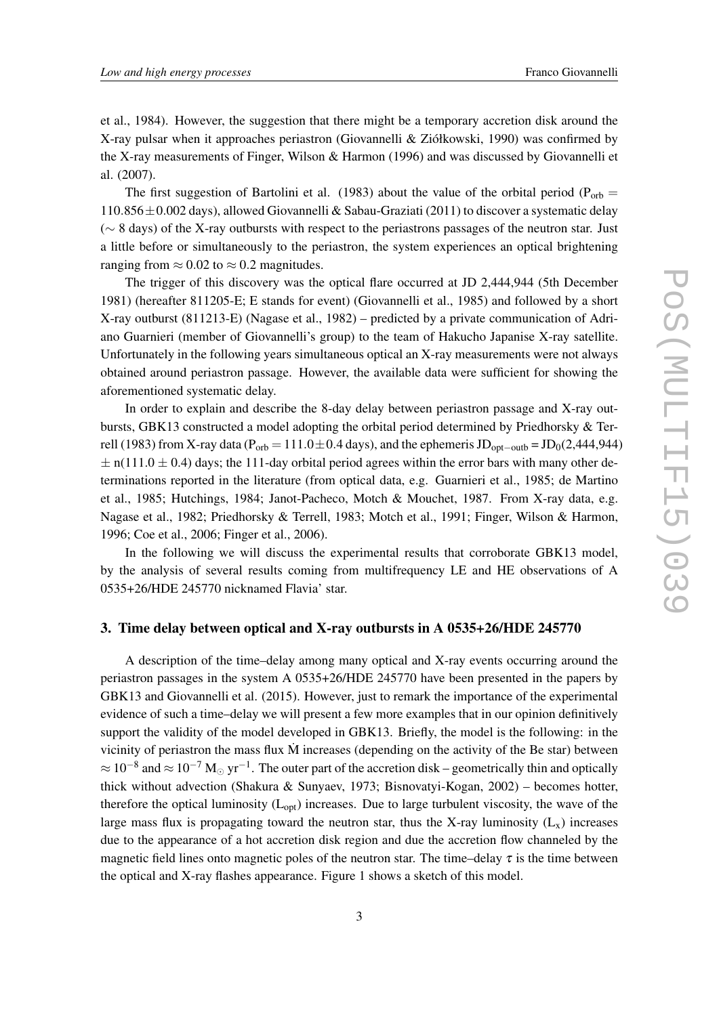et al., 1984). However, the suggestion that there might be a temporary accretion disk around the X-ray pulsar when it approaches periastron (Giovannelli & Ziółkowski, 1990) was confirmed by the X-ray measurements of Finger, Wilson & Harmon (1996) and was discussed by Giovannelli et al. (2007).

The first suggestion of Bartolini et al. (1983) about the value of the orbital period ( $P_{orb}$  = 110*.*856*±*0*.*002 days), allowed Giovannelli & Sabau-Graziati (2011) to discover a systematic delay (*∼* 8 days) of the X-ray outbursts with respect to the periastrons passages of the neutron star. Just a little before or simultaneously to the periastron, the system experiences an optical brightening ranging from  $\approx 0.02$  to  $\approx 0.2$  magnitudes.

The trigger of this discovery was the optical flare occurred at JD 2,444,944 (5th December 1981) (hereafter 811205-E; E stands for event) (Giovannelli et al., 1985) and followed by a short X-ray outburst (811213-E) (Nagase et al., 1982) – predicted by a private communication of Adriano Guarnieri (member of Giovannelli's group) to the team of Hakucho Japanise X-ray satellite. Unfortunately in the following years simultaneous optical an X-ray measurements were not always obtained around periastron passage. However, the available data were sufficient for showing the aforementioned systematic delay.

In order to explain and describe the 8-day delay between periastron passage and X-ray outbursts, GBK13 constructed a model adopting the orbital period determined by Priedhorsky & Terrell (1983) from X-ray data (P<sub>orb</sub> = 111.0±0.4 days), and the ephemeris JD<sub>opt−outb</sub> = JD<sub>0</sub>(2,444,944)  $\pm$  n(111.0  $\pm$  0.4) days; the 111-day orbital period agrees within the error bars with many other determinations reported in the literature (from optical data, e.g. Guarnieri et al., 1985; de Martino et al., 1985; Hutchings, 1984; Janot-Pacheco, Motch & Mouchet, 1987. From X-ray data, e.g. Nagase et al., 1982; Priedhorsky & Terrell, 1983; Motch et al., 1991; Finger, Wilson & Harmon, 1996; Coe et al., 2006; Finger et al., 2006).

In the following we will discuss the experimental results that corroborate GBK13 model, by the analysis of several results coming from multifrequency LE and HE observations of A 0535+26/HDE 245770 nicknamed Flavia' star.

## 3. Time delay between optical and X-ray outbursts in A 0535+26/HDE 245770

A description of the time–delay among many optical and X-ray events occurring around the periastron passages in the system A 0535+26/HDE 245770 have been presented in the papers by GBK13 and Giovannelli et al. (2015). However, just to remark the importance of the experimental evidence of such a time–delay we will present a few more examples that in our opinion definitively support the validity of the model developed in GBK13. Briefly, the model is the following: in the vicinity of periastron the mass flux  $\dot{M}$  increases (depending on the activity of the Be star) between *<sup>≈</sup>* <sup>10</sup>*−*<sup>8</sup> and *<sup>≈</sup>* <sup>10</sup>*−*<sup>7</sup> <sup>M</sup>*<sup>⊙</sup>* yr*−*<sup>1</sup> . The outer part of the accretion disk – geometrically thin and optically thick without advection (Shakura & Sunyaev, 1973; Bisnovatyi-Kogan, 2002) – becomes hotter, therefore the optical luminosity  $(L_{opt})$  increases. Due to large turbulent viscosity, the wave of the large mass flux is propagating toward the neutron star, thus the X-ray luminosity  $(L_x)$  increases due to the appearance of a hot accretion disk region and due the accretion flow channeled by the magnetic field lines onto magnetic poles of the neutron star. The time–delay  $\tau$  is the time between the optical and X-ray flashes appearance. Figure 1 shows a sketch of this model.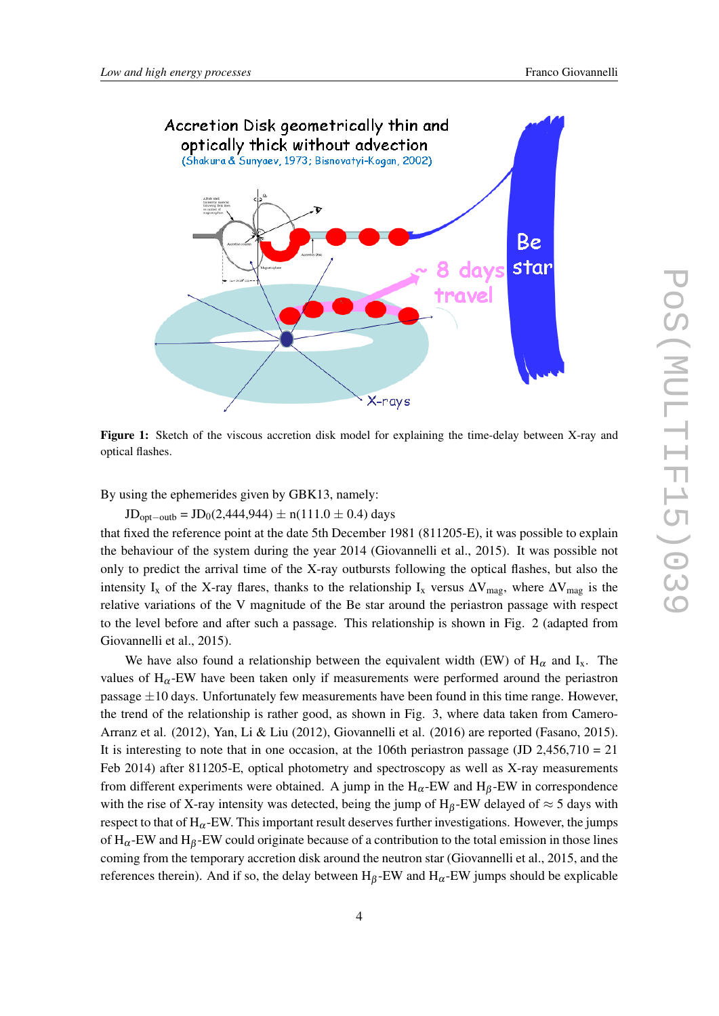

Figure 1: Sketch of the viscous accretion disk model for explaining the time-delay between X-ray and optical flashes.

By using the ephemerides given by GBK13, namely:

JDopt*−*outb = JD0(2,444,944) *±* n(111.0 *±* 0.4) days

that fixed the reference point at the date 5th December 1981 (811205-E), it was possible to explain the behaviour of the system during the year 2014 (Giovannelli et al., 2015). It was possible not only to predict the arrival time of the X-ray outbursts following the optical flashes, but also the intensity I<sub>x</sub> of the X-ray flares, thanks to the relationship I<sub>x</sub> versus  $\Delta V_{\text{mag}}$ , where  $\Delta V_{\text{mag}}$  is the relative variations of the V magnitude of the Be star around the periastron passage with respect to the level before and after such a passage. This relationship is shown in Fig. 2 (adapted from Giovannelli et al., 2015).

We have also found a relationship between the equivalent width (EW) of  $H_{\alpha}$  and  $I_{x}$ . The values of  $H_\alpha$ -EW have been taken only if measurements were performed around the periastron passage *±*10 days. Unfortunately few measurements have been found in this time range. However, the trend of the relationship is rather good, as shown in Fig. 3, where data taken from Camero-Arranz et al. (2012), Yan, Li & Liu (2012), Giovannelli et al. (2016) are reported (Fasano, 2015). It is interesting to note that in one occasion, at the 106th periastron passage (JD 2,456,710 = 21) Feb 2014) after 811205-E, optical photometry and spectroscopy as well as X-ray measurements from different experiments were obtained. A jump in the  $H_{\alpha}$ -EW and  $H_{\beta}$ -EW in correspondence with the rise of X-ray intensity was detected, being the jump of  $H_\beta$ -EW delayed of  $\approx$  5 days with respect to that of  $H_{\alpha}$ -EW. This important result deserves further investigations. However, the jumps of  $H_{\alpha}$ -EW and  $H_{\beta}$ -EW could originate because of a contribution to the total emission in those lines coming from the temporary accretion disk around the neutron star (Giovannelli et al., 2015, and the references therein). And if so, the delay between  $H_\beta$ -EW and  $H_\alpha$ -EW jumps should be explicable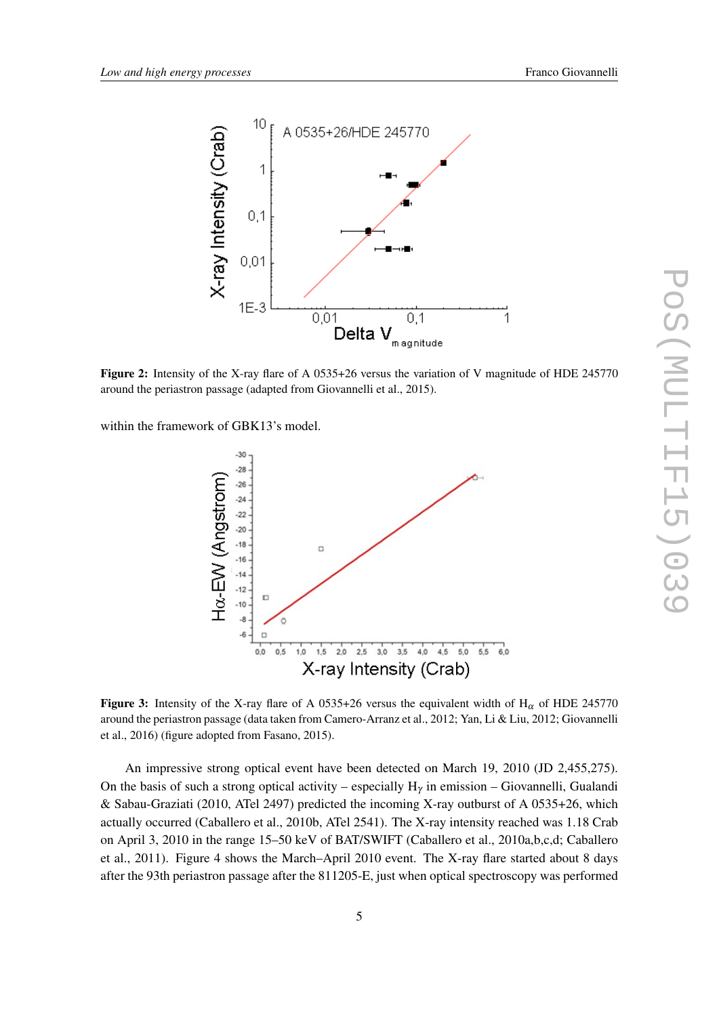

Figure 2: Intensity of the X-ray flare of A 0535+26 versus the variation of V magnitude of HDE 245770 around the periastron passage (adapted from Giovannelli et al., 2015).

within the framework of GBK13's model.



Figure 3: Intensity of the X-ray flare of A 0535+26 versus the equivalent width of H<sub>α</sub> of HDE 245770 around the periastron passage (data taken from Camero-Arranz et al., 2012; Yan, Li & Liu, 2012; Giovannelli et al., 2016) (figure adopted from Fasano, 2015).

An impressive strong optical event have been detected on March 19, 2010 (JD 2,455,275). On the basis of such a strong optical activity – especially  $H_{\gamma}$  in emission – Giovannelli, Gualandi & Sabau-Graziati (2010, ATel 2497) predicted the incoming X-ray outburst of A 0535+26, which actually occurred (Caballero et al., 2010b, ATel 2541). The X-ray intensity reached was 1.18 Crab on April 3, 2010 in the range 15–50 keV of BAT/SWIFT (Caballero et al., 2010a,b,c,d; Caballero et al., 2011). Figure 4 shows the March–April 2010 event. The X-ray flare started about 8 days after the 93th periastron passage after the 811205-E, just when optical spectroscopy was performed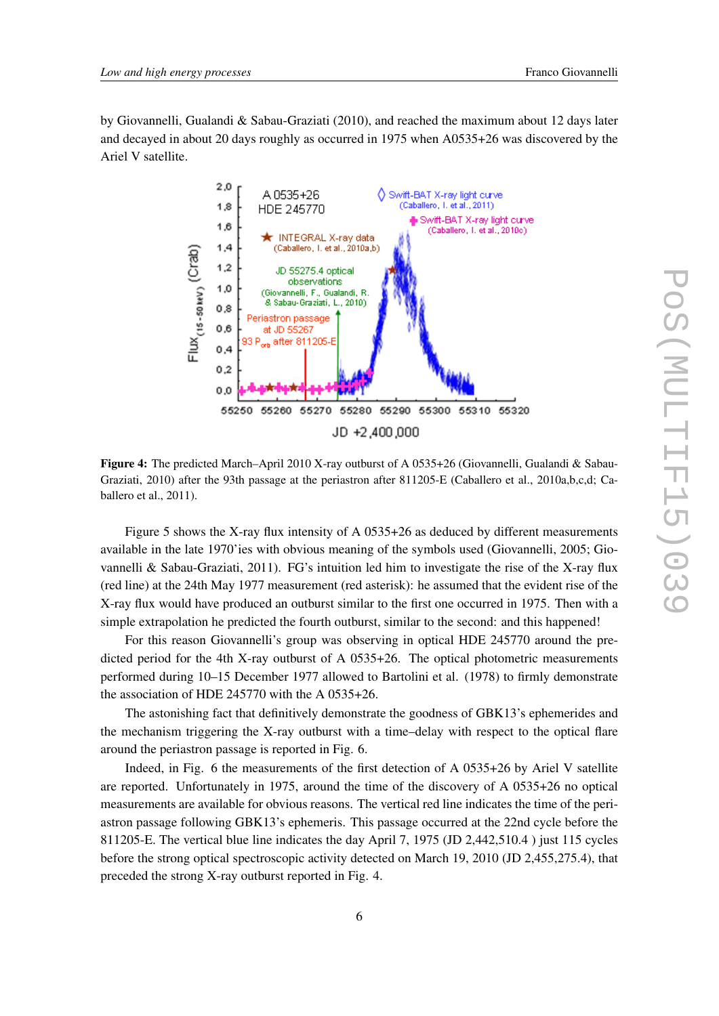by Giovannelli, Gualandi & Sabau-Graziati (2010), and reached the maximum about 12 days later and decayed in about 20 days roughly as occurred in 1975 when A0535+26 was discovered by the Ariel V satellite.



Figure 4: The predicted March–April 2010 X-ray outburst of A 0535+26 (Giovannelli, Gualandi & Sabau-Graziati, 2010) after the 93th passage at the periastron after 811205-E (Caballero et al., 2010a,b,c,d; Caballero et al., 2011).

Figure 5 shows the X-ray flux intensity of A 0535+26 as deduced by different measurements available in the late 1970'ies with obvious meaning of the symbols used (Giovannelli, 2005; Giovannelli & Sabau-Graziati, 2011). FG's intuition led him to investigate the rise of the X-ray flux (red line) at the 24th May 1977 measurement (red asterisk): he assumed that the evident rise of the X-ray flux would have produced an outburst similar to the first one occurred in 1975. Then with a simple extrapolation he predicted the fourth outburst, similar to the second: and this happened!

For this reason Giovannelli's group was observing in optical HDE 245770 around the predicted period for the 4th X-ray outburst of A 0535+26. The optical photometric measurements performed during 10–15 December 1977 allowed to Bartolini et al. (1978) to firmly demonstrate the association of HDE 245770 with the A 0535+26.

The astonishing fact that definitively demonstrate the goodness of GBK13's ephemerides and the mechanism triggering the X-ray outburst with a time–delay with respect to the optical flare around the periastron passage is reported in Fig. 6.

Indeed, in Fig. 6 the measurements of the first detection of A 0535+26 by Ariel V satellite are reported. Unfortunately in 1975, around the time of the discovery of A 0535+26 no optical measurements are available for obvious reasons. The vertical red line indicates the time of the periastron passage following GBK13's ephemeris. This passage occurred at the 22nd cycle before the 811205-E. The vertical blue line indicates the day April 7, 1975 (JD 2,442,510.4 ) just 115 cycles before the strong optical spectroscopic activity detected on March 19, 2010 (JD 2,455,275.4), that preceded the strong X-ray outburst reported in Fig. 4.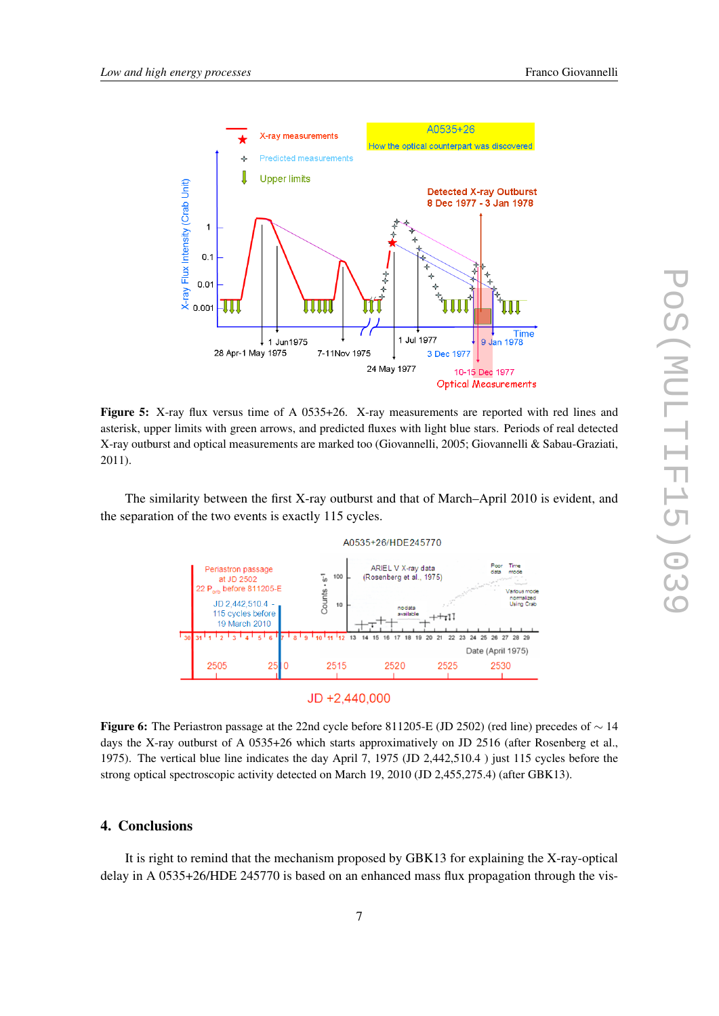



Figure 5: X-ray flux versus time of A 0535+26. X-ray measurements are reported with red lines and asterisk, upper limits with green arrows, and predicted fluxes with light blue stars. Periods of real detected X-ray outburst and optical measurements are marked too (Giovannelli, 2005; Giovannelli & Sabau-Graziati, 2011).

The similarity between the first X-ray outburst and that of March–April 2010 is evident, and the separation of the two events is exactly 115 cycles.





Figure 6: The Periastron passage at the 22nd cycle before 811205-E (JD 2502) (red line) precedes of *∼* 14 days the X-ray outburst of A 0535+26 which starts approximatively on JD 2516 (after Rosenberg et al., 1975). The vertical blue line indicates the day April 7, 1975 (JD 2,442,510.4 ) just 115 cycles before the strong optical spectroscopic activity detected on March 19, 2010 (JD 2,455,275.4) (after GBK13).

## 4. Conclusions

It is right to remind that the mechanism proposed by GBK13 for explaining the X-ray-optical delay in A 0535+26/HDE 245770 is based on an enhanced mass flux propagation through the vis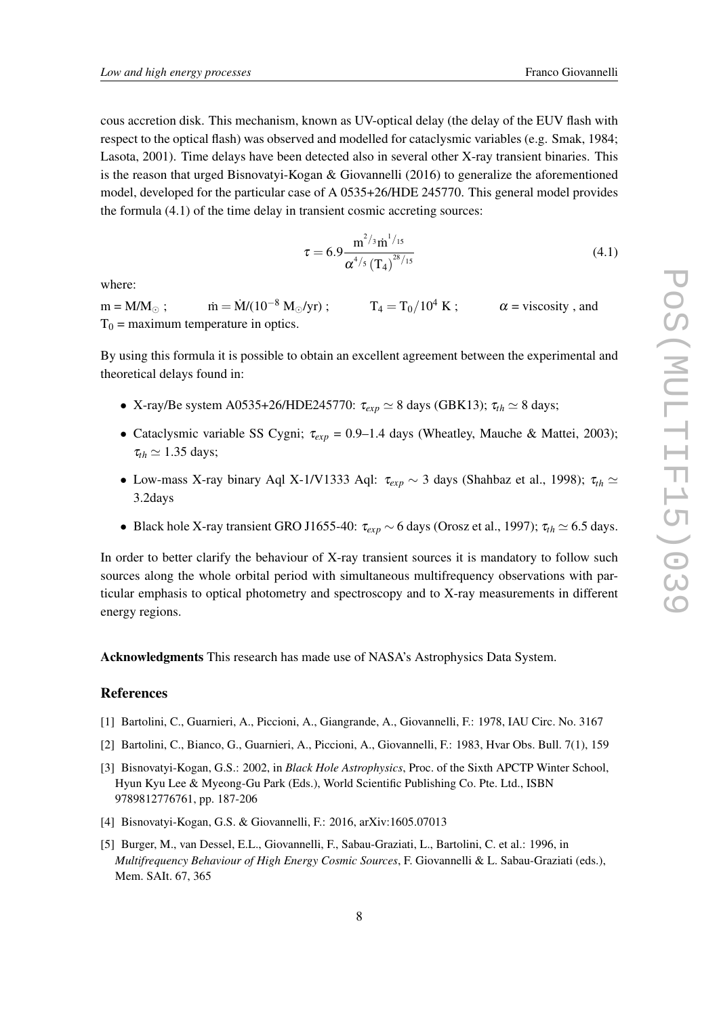cous accretion disk. This mechanism, known as UV-optical delay (the delay of the EUV flash with respect to the optical flash) was observed and modelled for cataclysmic variables (e.g. Smak, 1984; Lasota, 2001). Time delays have been detected also in several other X-ray transient binaries. This is the reason that urged Bisnovatyi-Kogan & Giovannelli (2016) to generalize the aforementioned model, developed for the particular case of A 0535+26/HDE 245770. This general model provides the formula (4.1) of the time delay in transient cosmic accreting sources:

$$
\tau = 6.9 \frac{\mathrm{m}^{2/\mathrm{3}} \mathrm{m}^{1/\mathrm{15}}}{\alpha^{4/\mathrm{5}} \left(\mathrm{T}_4\right)^{28/\mathrm{15}}} \tag{4.1}
$$

where:

 $m = M/M_{\odot}$ ;  $m = M/(10^{-8} M_{\odot}/yr)$ ;  $T_4 = T_0/10^4 K$ ;  $\alpha$  = viscosity, and  $T_0$  = maximum temperature in optics.

By using this formula it is possible to obtain an excellent agreement between the experimental and theoretical delays found in:

- *•* X-ray/Be system A0535+26/HDE245770: <sup>τ</sup>*exp ≃* 8 days (GBK13); <sup>τ</sup>*th ≃* 8 days;
- *•* Cataclysmic variable SS Cygni; <sup>τ</sup>*exp* = 0.9–1.4 days (Wheatley, Mauche & Mattei, 2003);  $\tau_{th} \simeq 1.35$  days;
- *•* Low-mass X-ray binary Aql X-1/V1333 Aql: <sup>τ</sup>*exp ∼* 3 days (Shahbaz et al., 1998); <sup>τ</sup>*th ≃* 3.2days
- *•* Black hole X-ray transient GRO J1655-40: <sup>τ</sup>*exp ∼* 6 days (Orosz et al., 1997); <sup>τ</sup>*th ≃* 6.5 days.

In order to better clarify the behaviour of X-ray transient sources it is mandatory to follow such sources along the whole orbital period with simultaneous multifrequency observations with particular emphasis to optical photometry and spectroscopy and to X-ray measurements in different energy regions.

Acknowledgments This research has made use of NASA's Astrophysics Data System.

### References

- [1] Bartolini, C., Guarnieri, A., Piccioni, A., Giangrande, A., Giovannelli, F.: 1978, IAU Circ. No. 3167
- [2] Bartolini, C., Bianco, G., Guarnieri, A., Piccioni, A., Giovannelli, F.: 1983, Hvar Obs. Bull. 7(1), 159
- [3] Bisnovatyi-Kogan, G.S.: 2002, in *Black Hole Astrophysics*, Proc. of the Sixth APCTP Winter School, Hyun Kyu Lee & Myeong-Gu Park (Eds.), World Scientific Publishing Co. Pte. Ltd., ISBN 9789812776761, pp. 187-206
- [4] Bisnovatyi-Kogan, G.S. & Giovannelli, F.: 2016, arXiv:1605.07013
- [5] Burger, M., van Dessel, E.L., Giovannelli, F., Sabau-Graziati, L., Bartolini, C. et al.: 1996, in *Multifrequency Behaviour of High Energy Cosmic Sources*, F. Giovannelli & L. Sabau-Graziati (eds.), Mem. SAIt. 67, 365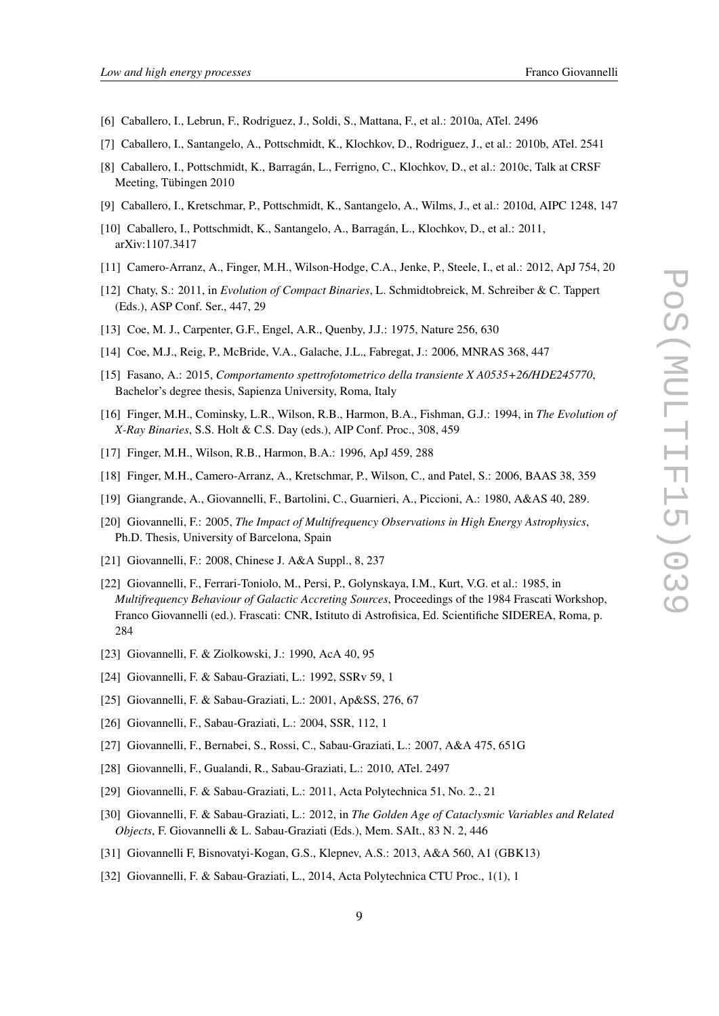- [6] Caballero, I., Lebrun, F., Rodriguez, J., Soldi, S., Mattana, F., et al.: 2010a, ATel. 2496
- [7] Caballero, I., Santangelo, A., Pottschmidt, K., Klochkov, D., Rodriguez, J., et al.: 2010b, ATel. 2541
- [8] Caballero, I., Pottschmidt, K., Barragán, L., Ferrigno, C., Klochkov, D., et al.: 2010c, Talk at CRSF Meeting, Tübingen 2010
- [9] Caballero, I., Kretschmar, P., Pottschmidt, K., Santangelo, A., Wilms, J., et al.: 2010d, AIPC 1248, 147
- [10] Caballero, I., Pottschmidt, K., Santangelo, A., Barragán, L., Klochkov, D., et al.: 2011, arXiv:1107.3417
- [11] Camero-Arranz, A., Finger, M.H., Wilson-Hodge, C.A., Jenke, P., Steele, I., et al.: 2012, ApJ 754, 20
- [12] Chaty, S.: 2011, in *Evolution of Compact Binaries*, L. Schmidtobreick, M. Schreiber & C. Tappert (Eds.), ASP Conf. Ser., 447, 29
- [13] Coe, M. J., Carpenter, G.F., Engel, A.R., Quenby, J.J.: 1975, Nature 256, 630
- [14] Coe, M.J., Reig, P., McBride, V.A., Galache, J.L., Fabregat, J.: 2006, MNRAS 368, 447
- [15] Fasano, A.: 2015, *Comportamento spettrofotometrico della transiente X A0535+26/HDE245770*, Bachelor's degree thesis, Sapienza University, Roma, Italy
- [16] Finger, M.H., Cominsky, L.R., Wilson, R.B., Harmon, B.A., Fishman, G.J.: 1994, in *The Evolution of X-Ray Binaries*, S.S. Holt & C.S. Day (eds.), AIP Conf. Proc., 308, 459
- [17] Finger, M.H., Wilson, R.B., Harmon, B.A.: 1996, ApJ 459, 288
- [18] Finger, M.H., Camero-Arranz, A., Kretschmar, P., Wilson, C., and Patel, S.: 2006, BAAS 38, 359
- [19] Giangrande, A., Giovannelli, F., Bartolini, C., Guarnieri, A., Piccioni, A.: 1980, A&AS 40, 289.
- [20] Giovannelli, F.: 2005, *The Impact of Multifrequency Observations in High Energy Astrophysics*, Ph.D. Thesis, University of Barcelona, Spain
- [21] Giovannelli, F.: 2008, Chinese J. A&A Suppl., 8, 237
- [22] Giovannelli, F., Ferrari-Toniolo, M., Persi, P., Golynskaya, I.M., Kurt, V.G. et al.: 1985, in *Multifrequency Behaviour of Galactic Accreting Sources*, Proceedings of the 1984 Frascati Workshop, Franco Giovannelli (ed.). Frascati: CNR, Istituto di Astrofisica, Ed. Scientifiche SIDEREA, Roma, p. 284
- [23] Giovannelli, F. & Ziolkowski, J.: 1990, AcA 40, 95
- [24] Giovannelli, F. & Sabau-Graziati, L.: 1992, SSRv 59, 1
- [25] Giovannelli, F. & Sabau-Graziati, L.: 2001, Ap&SS, 276, 67
- [26] Giovannelli, F., Sabau-Graziati, L.: 2004, SSR, 112, 1
- [27] Giovannelli, F., Bernabei, S., Rossi, C., Sabau-Graziati, L.: 2007, A&A 475, 651G
- [28] Giovannelli, F., Gualandi, R., Sabau-Graziati, L.: 2010, ATel. 2497
- [29] Giovannelli, F. & Sabau-Graziati, L.: 2011, Acta Polytechnica 51, No. 2., 21
- [30] Giovannelli, F. & Sabau-Graziati, L.: 2012, in *The Golden Age of Cataclysmic Variables and Related Objects*, F. Giovannelli & L. Sabau-Graziati (Eds.), Mem. SAIt., 83 N. 2, 446
- [31] Giovannelli F, Bisnovatyi-Kogan, G.S., Klepnev, A.S.: 2013, A&A 560, A1 (GBK13)
- [32] Giovannelli, F. & Sabau-Graziati, L., 2014, Acta Polytechnica CTU Proc., 1(1), 1